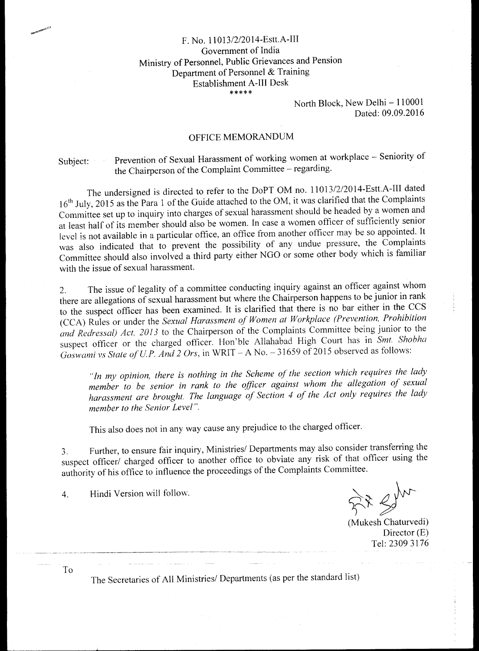## F. No. 11013/2/2014-Estt.A-III Government of India Ministry of Personnel, Public Grievances and Pension Department of Personnel & Training Establishment A-III Desk \*\*\*\*\*

North Block, New Delhi — 110001 Dated: 09.09.2016

## OFFICE MEMORANDUM

Subject: Prevention of Sexual Harassment of working women at workplace - Seniority of the Chairperson of the Complaint Committee — regarding.

The undersigned is directed to refer to the DoPT OM no. 11013/2/2014-Estt.A-III dated 16<sup>th</sup> July, 2015 as the Para 1 of the Guide attached to the OM, it was clarified that the Complaints Committee set up to inquiry into charges of sexual harassment should be headed by a women and at least half of its member should also be women. In case a women officer of sufficiently senior level is not available in a particular office, an office from another officer may be so appointed. It was also indicated that to prevent the possibility of any undue pressure, the Complaints Committee should also involved a third party either NGO or some other body which is familiar with the issue of sexual harassment.

2. The issue of legality of a committee conducting inquiry against an officer against whom there are allegations of sexual harassment but where the Chairperson happens to be junior in rank to the suspect officer has been examined. It is clarified that there is no bar either in the CCS (CCA) Rules or under the *Sexual Harassment of Women at Workplace (Prevention, Prohibition and Redressal) Act, 2013* to the Chairperson of the Complaints Committee being junior to the suspect officer or the charged officer. Hon'ble Allahabad High Court has in *Sint. Shobha Goswami vs State of U.P. And 2 Ors,* in WRIT — A No. — 31659 of 2015 observed as follows:

*"In my opinion, there is nothing in the Scheme of the section which requires the lady member to be senior in rank to the officer against whom the allegation of sexual harassment are brought. The language of Section 4 of the Act only requires the lady member to the Senior Level".* 

This also does not in any way cause any prejudice to the charged officer.

3. Further, to ensure fair inquiry, Ministries/ Departments may also consider transferring the suspect officer/ charged officer to another office to obviate any risk of that officer using the authority of his office to influence the proceedings of the Complaints Committee.

4. Hindi Version will follow.

 $\sum_{\text{Mukesh Chaturvedi}}$ 

Director (E) Tel: 2309 3176

To

The Secretaries of All Ministries/ Departments (as per the standard list)